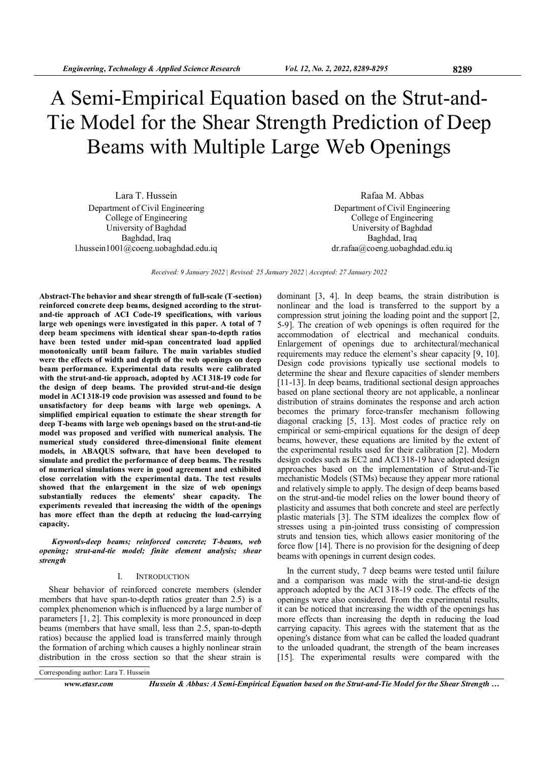# A Semi-Empirical Equation based on the Strut-and-Tie Model for the Shear Strength Prediction of Deep Beams with Multiple Large Web Openings

Lara T. Hussein Department of Civil Engineering College of Engineering University of Baghdad Baghdad, Iraq l.hussein1001@coeng.uobaghdad.edu.iq

Rafaa M. Abbas Department of Civil Engineering College of Engineering University of Baghdad Baghdad, Iraq dr.rafaa@coeng.uobaghdad.edu.iq

Received: 9 January 2022 | Revised: 25 January 2022 | Accepted: 27 January 2022

Abstract-The behavior and shear strength of full-scale (T-section) reinforced concrete deep beams, designed according to the strutand-tie approach of ACI Code-19 specifications, with various large web openings were investigated in this paper. A total of 7 deep beam specimens with identical shear span-to-depth ratios have been tested under mid-span concentrated load applied monotonically until beam failure. The main variables studied were the effects of width and depth of the web openings on deep beam performance. Experimental data results were calibrated with the strut-and-tie approach, adopted by ACI 318-19 code for the design of deep beams. The provided strut-and-tie design model in ACI 318-19 code provision was assessed and found to be unsatisfactory for deep beams with large web openings. A simplified empirical equation to estimate the shear strength for deep T-beams with large web openings based on the strut-and-tie model was proposed and verified with numerical analysis. The numerical study considered three-dimensional finite element models, in ABAQUS software, that have been developed to simulate and predict the performance of deep beams. The results of numerical simulations were in good agreement and exhibited close correlation with the experimental data. The test results showed that the enlargement in the size of web openings substantially reduces the elements' shear capacity. The experiments revealed that increasing the width of the openings has more effect than the depth at reducing the load-carrying capacity.

Keywords-deep beams; reinforced concrete; T-beams, web opening; strut-and-tie model; finite element analysis; shear strength

#### I. INTRODUCTION

Shear behavior of reinforced concrete members (slender members that have span-to-depth ratios greater than 2.5) is a complex phenomenon which is influenced by a large number of parameters [1, 2]. This complexity is more pronounced in deep beams (members that have small, less than 2.5, span-to-depth ratios) because the applied load is transferred mainly through the formation of arching which causes a highly nonlinear strain distribution in the cross section so that the shear strain is

dominant [3, 4]. In deep beams, the strain distribution is nonlinear and the load is transferred to the support by a compression strut joining the loading point and the support [2, 5-9]. The creation of web openings is often required for the accommodation of electrical and mechanical conduits. Enlargement of openings due to architectural/mechanical requirements may reduce the element's shear capacity [9, 10]. Design code provisions typically use sectional models to determine the shear and flexure capacities of slender members [11-13]. In deep beams, traditional sectional design approaches based on plane sectional theory are not applicable, a nonlinear distribution of strains dominates the response and arch action becomes the primary force-transfer mechanism following diagonal cracking [5, 13]. Most codes of practice rely on empirical or semi-empirical equations for the design of deep beams, however, these equations are limited by the extent of the experimental results used for their calibration [2]. Modern design codes such as EC2 and ACI 318-19 have adopted design approaches based on the implementation of Strut-and-Tie mechanistic Models (STMs) because they appear more rational and relatively simple to apply. The design of deep beams based on the strut-and-tie model relies on the lower bound theory of plasticity and assumes that both concrete and steel are perfectly plastic materials [3]. The STM idealizes the complex flow of stresses using a pin-jointed truss consisting of compression struts and tension ties, which allows easier monitoring of the force flow [14]. There is no provision for the designing of deep beams with openings in current design codes.

In the current study, 7 deep beams were tested until failure and a comparison was made with the strut-and-tie design approach adopted by the ACI 318-19 code. The effects of the openings were also considered. From the experimental results, it can be noticed that increasing the width of the openings has more effects than increasing the depth in reducing the load carrying capacity. This agrees with the statement that as the opening's distance from what can be called the loaded quadrant to the unloaded quadrant, the strength of the beam increases [15]. The experimental results were compared with the

Corresponding author: Lara T. Hussein

www.etasr.com Hussein & Abbas: A Semi-Empirical Equation based on the Strut-and-Tie Model for the Shear Strength ...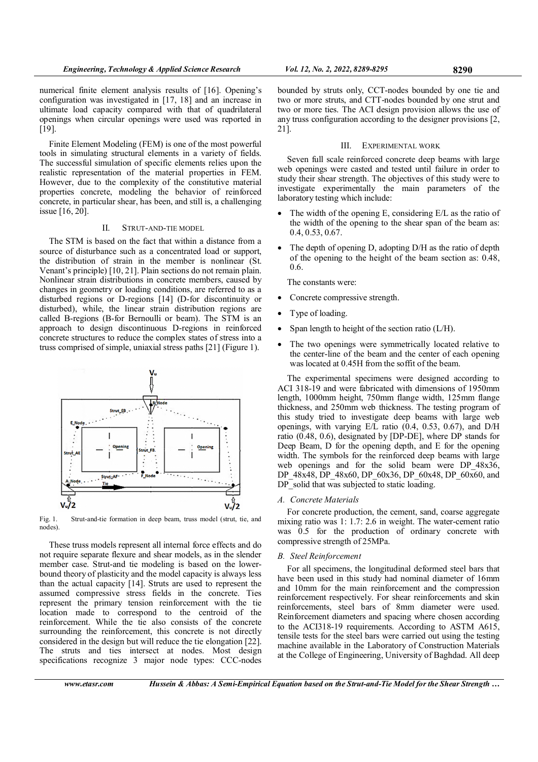numerical finite element analysis results of [16]. Opening's configuration was investigated in [17, 18] and an increase in ultimate load capacity compared with that of quadrilateral openings when circular openings were used was reported in [19].

Finite Element Modeling (FEM) is one of the most powerful tools in simulating structural elements in a variety of fields. The successful simulation of specific elements relies upon the realistic representation of the material properties in FEM. However, due to the complexity of the constitutive material properties concrete, modeling the behavior of reinforced concrete, in particular shear, has been, and still is, a challenging issue [16, 20].

## II. STRUT-AND-TIE MODEL

The STM is based on the fact that within a distance from a source of disturbance such as a concentrated load or support, the distribution of strain in the member is nonlinear (St. Venant's principle) [10, 21]. Plain sections do not remain plain. Nonlinear strain distributions in concrete members, caused by changes in geometry or loading conditions, are referred to as a disturbed regions or D-regions [14] (D-for discontinuity or disturbed), while, the linear strain distribution regions are called B-regions (B-for Bernoulli or beam). The STM is an approach to design discontinuous D-regions in reinforced concrete structures to reduce the complex states of stress into a truss comprised of simple, uniaxial stress paths [21] (Figure 1).



Fig. 1. Strut-and-tie formation in deep beam, truss model (strut, tie, and nodes)

These truss models represent all internal force effects and do not require separate flexure and shear models, as in the slender member case. Strut-and tie modeling is based on the lowerbound theory of plasticity and the model capacity is always less than the actual capacity [14]. Struts are used to represent the assumed compressive stress fields in the concrete. Ties represent the primary tension reinforcement with the tie location made to correspond to the centroid of the reinforcement. While the tie also consists of the concrete surrounding the reinforcement, this concrete is not directly considered in the design but will reduce the tie elongation [22]. The struts and ties intersect at nodes. Most design specifications recognize 3 major node types: CCC-nodes

## III. EXPERIMENTAL WORK

Seven full scale reinforced concrete deep beams with large web openings were casted and tested until failure in order to study their shear strength. The objectives of this study were to investigate experimentally the main parameters of the laboratory testing which include:

- The width of the opening  $E$ , considering  $E/L$  as the ratio of the width of the opening to the shear span of the beam as: 0.4, 0.53, 0.67.
- The depth of opening D, adopting D/H as the ratio of depth of the opening to the height of the beam section as: 0.48, 0.6.

The constants were:

- Concrete compressive strength.
- Type of loading.
- Span length to height of the section ratio (L/H).
- The two openings were symmetrically located relative to the center-line of the beam and the center of each opening was located at 0.45H from the soffit of the beam.

The experimental specimens were designed according to ACI 318-19 and were fabricated with dimensions of 1950mm length, 1000mm height, 750mm flange width, 125mm flange thickness, and 250mm web thickness. The testing program of this study tried to investigate deep beams with large web openings, with varying E/L ratio (0.4, 0.53, 0.67), and D/H ratio (0.48, 0.6), designated by [DP-DE], where DP stands for Deep Beam, D for the opening depth, and E for the opening width. The symbols for the reinforced deep beams with large web openings and for the solid beam were DP  $48x36$ , DP\_48x48, DP\_48x60, DP\_60x36, DP\_60x48, DP\_60x60, and DP solid that was subjected to static loading.

## A. Concrete Materials

For concrete production, the cement, sand, coarse aggregate mixing ratio was 1: 1.7: 2.6 in weight. The water-cement ratio was  $0.5$  for the production of ordinary concrete with compressive strength of 25MPa.

## B. Steel Reinforcement

For all specimens, the longitudinal deformed steel bars that have been used in this study had nominal diameter of 16mm and 10mm for the main reinforcement and the compression reinforcement respectively. For shear reinforcements and skin reinforcements, steel bars of 8mm diameter were used. Reinforcement diameters and spacing where chosen according to the ACI318-19 requirements. According to ASTM A615, tensile tests for the steel bars were carried out using the testing machine available in the Laboratory of Construction Materials at the College of Engineering, University of Baghdad. All deep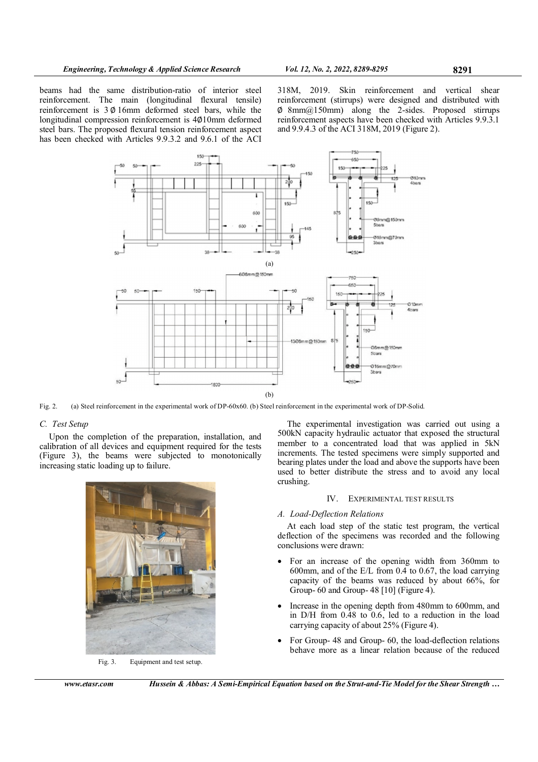beams had the same distribution-ratio of interior steel reinforcement. The main (longitudinal flexural tensile) reinforcement is 3 ∅ 16mm deformed steel bars, while the longitudinal compression reinforcement is 4∅10mm deformed steel bars. The proposed flexural tension reinforcement aspect has been checked with Articles 9.9.3.2 and 9.6.1 of the ACI

318M, 2019. Skin reinforcement and vertical shear reinforcement (stirrups) were designed and distributed with ∅ 8mm@150mm) along the 2-sides. Proposed stirrups reinforcement aspects have been checked with Articles 9.9.3.1 and 9.9.4.3 of the ACI 318M, 2019 (Figure 2).



Fig. 2. (a) Steel reinforcement in the experimental work of DP-60x60. (b) Steel reinforcement in the experimental work of DP-Solid.

# C. Test Setup

Upon the completion of the preparation, installation, and calibration of all devices and equipment required for the tests (Figure 3), the beams were subjected to monotonically increasing static loading up to failure.



Fig. 3. Equipment and test setup.

The experimental investigation was carried out using a 500kN capacity hydraulic actuator that exposed the structural member to a concentrated load that was applied in 5kN increments. The tested specimens were simply supported and bearing plates under the load and above the supports have been used to better distribute the stress and to avoid any local crushing.

# IV. EXPERIMENTAL TEST RESULTS

# A. Load-Deflection Relations

At each load step of the static test program, the vertical deflection of the specimens was recorded and the following conclusions were drawn:

- For an increase of the opening width from 360mm to 600mm, and of the E/L from 0.4 to 0.67, the load carrying capacity of the beams was reduced by about 66%, for Group- 60 and Group- 48 [10] (Figure 4).
- Increase in the opening depth from 480mm to 600mm, and in D/H from 0.48 to 0.6, led to a reduction in the load carrying capacity of about 25% (Figure 4).
- For Group- 48 and Group- 60, the load-deflection relations behave more as a linear relation because of the reduced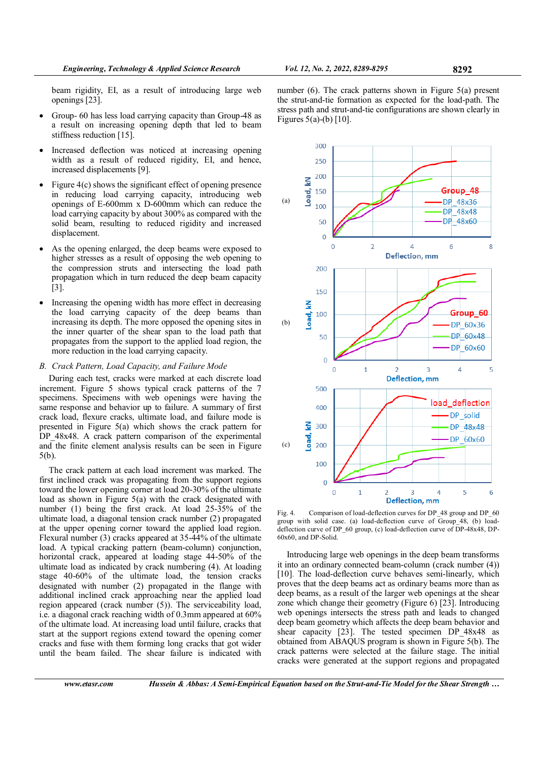beam rigidity, EI, as a result of introducing large web openings [23].

- Group- 60 has less load carrying capacity than Group-48 as a result on increasing opening depth that led to beam stiffness reduction [15].
- Increased deflection was noticed at increasing opening width as a result of reduced rigidity, EI, and hence, increased displacements [9].
- Figure  $4(c)$  shows the significant effect of opening presence in reducing load carrying capacity, introducing web openings of E-600mm x D-600mm which can reduce the load carrying capacity by about 300% as compared with the solid beam, resulting to reduced rigidity and increased displacement.
- As the opening enlarged, the deep beams were exposed to higher stresses as a result of opposing the web opening to the compression struts and intersecting the load path propagation which in turn reduced the deep beam capacity [3].
- Increasing the opening width has more effect in decreasing the load carrying capacity of the deep beams than increasing its depth. The more opposed the opening sites in the inner quarter of the shear span to the load path that propagates from the support to the applied load region, the more reduction in the load carrying capacity.

# B. Crack Pattern, Load Capacity, and Failure Mode

During each test, cracks were marked at each discrete load increment. Figure 5 shows typical crack patterns of the 7 specimens. Specimens with web openings were having the same response and behavior up to failure. A summary of first crack load, flexure cracks, ultimate load, and failure mode is presented in Figure 5(a) which shows the crack pattern for DP 48x48. A crack pattern comparison of the experimental and the finite element analysis results can be seen in Figure 5(b).

The crack pattern at each load increment was marked. The first inclined crack was propagating from the support regions toward the lower opening corner at load 20-30% of the ultimate load as shown in Figure 5(a) with the crack designated with number (1) being the first crack. At load 25-35% of the ultimate load, a diagonal tension crack number (2) propagated at the upper opening corner toward the applied load region. Flexural number (3) cracks appeared at 35-44% of the ultimate load. A typical cracking pattern (beam-column) conjunction, horizontal crack, appeared at loading stage 44-50% of the ultimate load as indicated by crack numbering (4). At loading stage 40-60% of the ultimate load, the tension cracks designated with number (2) propagated in the flange with additional inclined crack approaching near the applied load region appeared (crack number (5)). The serviceability load, i.e. a diagonal crack reaching width of 0.3mm appeared at 60% of the ultimate load. At increasing load until failure, cracks that start at the support regions extend toward the opening corner cracks and fuse with them forming long cracks that got wider until the beam failed. The shear failure is indicated with

number (6). The crack patterns shown in Figure 5(a) present the strut-and-tie formation as expected for the load-path. The stress path and strut-and-tie configurations are shown clearly in Figures 5(a)-(b) [10].



Fig. 4. Comparison of load-deflection curves for DP\_48 group and DP\_60 group with solid case. (a) load-deflection curve of Group\_48, (b) loaddeflection curve of DP\_60 group, (c) load-deflection curve of DP-48x48, DP-60x60, and DP-Solid.

Introducing large web openings in the deep beam transforms it into an ordinary connected beam-column (crack number (4)) [10]. The load-deflection curve behaves semi-linearly, which proves that the deep beams act as ordinary beams more than as deep beams, as a result of the larger web openings at the shear zone which change their geometry (Figure 6) [23]. Introducing web openings intersects the stress path and leads to changed deep beam geometry which affects the deep beam behavior and shear capacity [23]. The tested specimen DP\_48x48 as obtained from ABAQUS program is shown in Figure 5(b). The crack patterns were selected at the failure stage. The initial cracks were generated at the support regions and propagated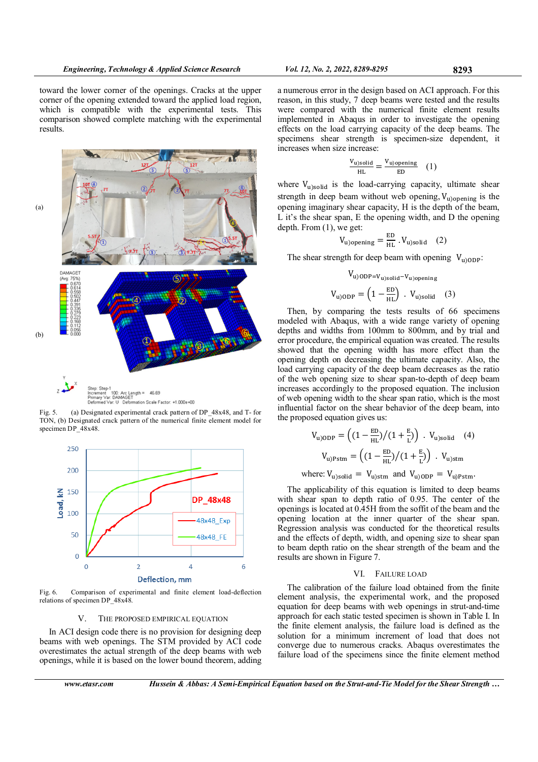

Fig. 5. (a) Designated experimental crack pattern of DP\_48x48, and T- for TON, (b) Designated crack pattern of the numerical finite element model for specimen DP\_48x48.



Fig. 6. Comparison of experimental and finite element load-deflection relations of specimen DP\_48x48.

# V. THE PROPOSED EMPIRICAL EQUATION

In ACI design code there is no provision for designing deep beams with web openings. The STM provided by ACI code overestimates the actual strength of the deep beams with web openings, while it is based on the lower bound theorem, adding

a numerous error in the design based on ACI approach. For this reason, in this study, 7 deep beams were tested and the results were compared with the numerical finite element results implemented in Abaqus in order to investigate the opening effects on the load carrying capacity of the deep beams. The specimens shear strength is specimen-size dependent, it increases when size increase:

$$
\frac{V_{\text{u})\text{solid}}}{\text{HL}} = \frac{V_{\text{u})\text{opening}}}{\text{ED}} \quad (1)
$$

where  $V_{\text{u}}$ <sub>solid</sub> is the load-carrying capacity, ultimate shear strength in deep beam without web opening,  $V_{\text{u}$ ) opening is the opening imaginary shear capacity, H is the depth of the beam, L it's the shear span, E the opening width, and D the opening depth. From (1), we get:

$$
V_{\text{u)opening}} = \frac{\text{ED}}{\text{HL}} \cdot V_{\text{u)solid}} \quad (2)
$$

The shear strength for deep beam with opening  $V_{\text{u} \setminus \text{ODP}}$ :

$$
V_{\text{u)ODP}=V_{\text{u})\text{solid}}-V_{\text{u})\text{opening}}
$$

$$
V_{\text{u)ODP}} = \left(1 - \frac{\text{ED}}{\text{HL}}\right) \cdot V_{\text{u})\text{solid}} \quad (3)
$$

Then, by comparing the tests results of 66 specimens modeled with Abaqus, with a wide range variety of opening depths and widths from 100mm to 800mm, and by trial and error procedure, the empirical equation was created. The results showed that the opening width has more effect than the opening depth on decreasing the ultimate capacity. Also, the load carrying capacity of the deep beam decreases as the ratio of the web opening size to shear span-to-depth of deep beam increases accordingly to the proposed equation. The inclusion of web opening width to the shear span ratio, which is the most influential factor on the shear behavior of the deep beam, into the proposed equation gives us:

$$
V_{\text{u})ODP} = \left( \left( 1 - \frac{\text{ED}}{\text{HL}} \right) / \left( 1 + \frac{\text{E}}{\text{L}} \right) \right) \cdot V_{\text{u})solid} \quad (4)
$$

$$
V_{\text{u})Pstm} = \left( \left( 1 - \frac{\text{ED}}{\text{HL}} \right) / \left( 1 + \frac{\text{E}}{\text{L}} \right) \right) \cdot V_{\text{u})stm}
$$

where:  $V_{\text{u}}_{\text{solid}} = V_{\text{u}}_{\text{stm}}$  and  $V_{\text{u}}_{\text{ODP}} = V_{\text{u}}_{\text{p}}_{\text{stm}}$ .

The applicability of this equation is limited to deep beams with shear span to depth ratio of 0.95. The center of the openings is located at 0.45H from the soffit of the beam and the opening location at the inner quarter of the shear span. Regression analysis was conducted for the theoretical results and the effects of depth, width, and opening size to shear span to beam depth ratio on the shear strength of the beam and the results are shown in Figure 7.

## VI. FAILURE LOAD

The calibration of the failure load obtained from the finite element analysis, the experimental work, and the proposed equation for deep beams with web openings in strut-and-time approach for each static tested specimen is shown in Table I. In the finite element analysis, the failure load is defined as the solution for a minimum increment of load that does not converge due to numerous cracks. Abaqus overestimates the failure load of the specimens since the finite element method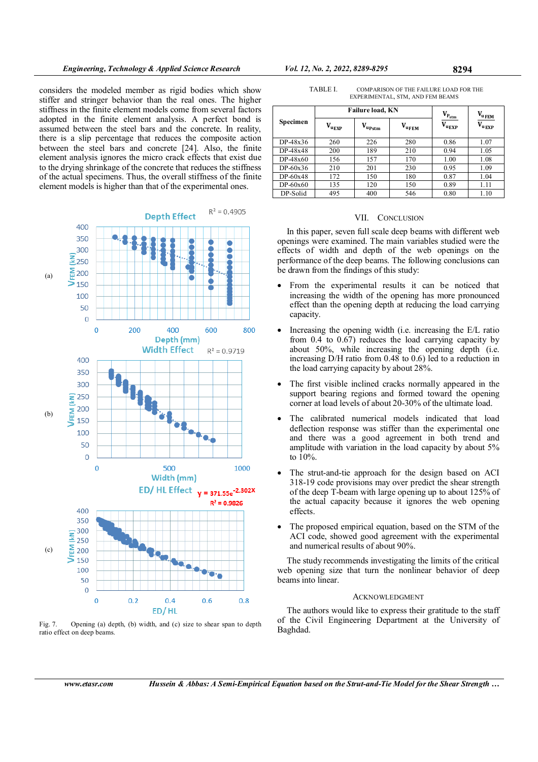considers the modeled member as rigid bodies which show stiffer and stringer behavior than the real ones. The higher stiffness in the finite element models come from several factors adopted in the finite element analysis. A perfect bond is assumed between the steel bars and the concrete. In reality, there is a slip percentage that reduces the composite action between the steel bars and concrete [24]. Also, the finite element analysis ignores the micro crack effects that exist due to the drying shrinkage of the concrete that reduces the stiffness of the actual specimens. Thus, the overall stiffness of the finite element models is higher than that of the experimental ones.



Fig. 7. Opening (a) depth, (b) width, and (c) size to shear span to depth ratio effect on deep beams.

TABLE I. COMPARISON OF THE FAILURE LOAD FOR THE EXPERIMENTAL, STM, AND FEM BEAMS

| Specimen   | <b>Failure load, KN</b>   |             |                   | $\mathbf{V}_{\!\text{P}_{\!\text{stm}}}$ | $V_{u_{\text{FEM}}}$ |
|------------|---------------------------|-------------|-------------------|------------------------------------------|----------------------|
|            | $V_{\text{u}_\text{EXP}}$ | $V_{upstm}$ | $V_{\text{uFEM}}$ | $V_{\text{u}_{\text{EXP}}}$              | $V_{\rm u_{EXP}}$    |
| $DP-48x36$ | 260                       | 226         | 280               | 0.86                                     | 1.07                 |
| DP-48x48   | 200                       | 189         | 210               | 0.94                                     | 1.05                 |
| DP-48x60   | 156                       | 157         | 170               | 1.00                                     | 1.08                 |
| $DP-60x36$ | 210                       | 201         | 230               | 0.95                                     | 1.09                 |
| $DP-60x48$ | 172                       | 150         | 180               | 0.87                                     | 1.04                 |
| $DP-60x60$ | 135                       | 120         | 150               | 0.89                                     | 1.11                 |
| DP-Solid   | 495                       | 400         | 546               | 0.80                                     | 1.10                 |

## VII. CONCLUSION

In this paper, seven full scale deep beams with different web openings were examined. The main variables studied were the effects of width and depth of the web openings on the performance of the deep beams. The following conclusions can be drawn from the findings of this study:

- From the experimental results it can be noticed that increasing the width of the opening has more pronounced effect than the opening depth at reducing the load carrying capacity.
- Increasing the opening width (i.e. increasing the E/L ratio from 0.4 to 0.67) reduces the load carrying capacity by about 50%, while increasing the opening depth (i.e. increasing D/H ratio from 0.48 to 0.6) led to a reduction in the load carrying capacity by about 28%.
- The first visible inclined cracks normally appeared in the support bearing regions and formed toward the opening corner at load levels of about 20-30% of the ultimate load.
- The calibrated numerical models indicated that load deflection response was stiffer than the experimental one and there was a good agreement in both trend and amplitude with variation in the load capacity by about 5% to 10%.
- The strut-and-tie approach for the design based on ACI 318-19 code provisions may over predict the shear strength of the deep T-beam with large opening up to about 125% of the actual capacity because it ignores the web opening effects.
- The proposed empirical equation, based on the STM of the ACI code, showed good agreement with the experimental and numerical results of about 90%.

The study recommends investigating the limits of the critical web opening size that turn the nonlinear behavior of deep beams into linear.

## ACKNOWLEDGMENT

The authors would like to express their gratitude to the staff of the Civil Engineering Department at the University of Baghdad.